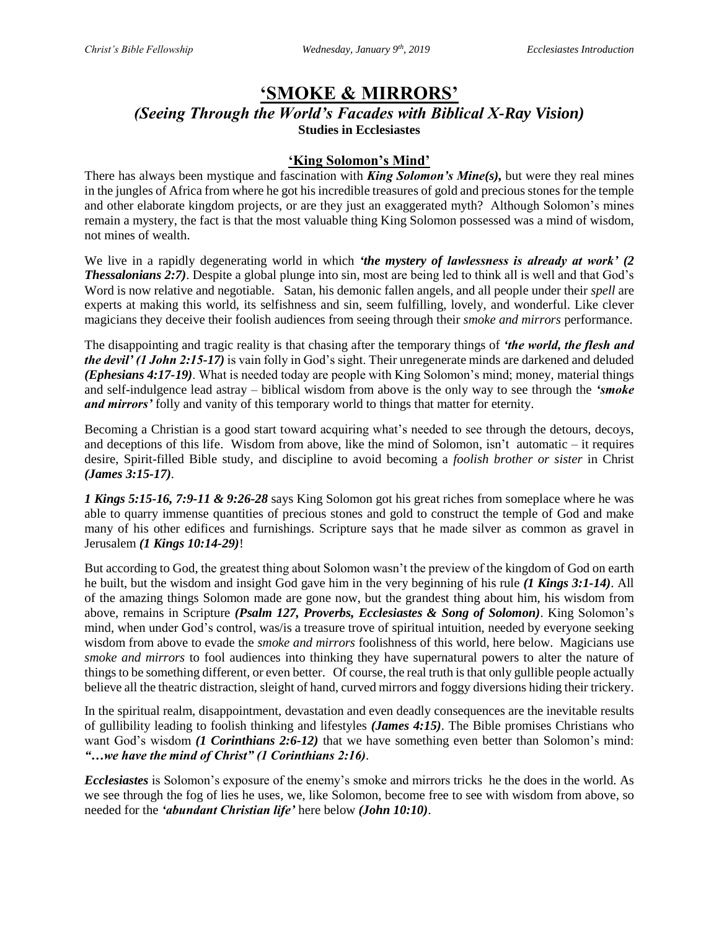# **'SMOKE & MIRRORS'**

#### *(Seeing Through the World's Facades with Biblical X-Ray Vision)* **Studies in Ecclesiastes**

### **'King Solomon's Mind'**

There has always been mystique and fascination with *King Solomon's Mine(s),* but were they real mines in the jungles of Africa from where he got his incredible treasures of gold and precious stones for the temple and other elaborate kingdom projects, or are they just an exaggerated myth? Although Solomon's mines remain a mystery, the fact is that the most valuable thing King Solomon possessed was a mind of wisdom, not mines of wealth.

We live in a rapidly degenerating world in which *'the mystery of lawlessness is already at work' (2 Thessalonians 2:7)*. Despite a global plunge into sin, most are being led to think all is well and that God's Word is now relative and negotiable. Satan, his demonic fallen angels, and all people under their *spell* are experts at making this world, its selfishness and sin, seem fulfilling, lovely, and wonderful. Like clever magicians they deceive their foolish audiences from seeing through their *smoke and mirrors* performance.

The disappointing and tragic reality is that chasing after the temporary things of *'the world, the flesh and the devil' (1 John 2:15-17)* is vain folly in God's sight. Their unregenerate minds are darkened and deluded *(Ephesians 4:17-19)*. What is needed today are people with King Solomon's mind; money, material things and self-indulgence lead astray – biblical wisdom from above is the only way to see through the *'smoke and mirrors'* folly and vanity of this temporary world to things that matter for eternity.

Becoming a Christian is a good start toward acquiring what's needed to see through the detours, decoys, and deceptions of this life. Wisdom from above, like the mind of Solomon, isn't automatic – it requires desire, Spirit-filled Bible study, and discipline to avoid becoming a *foolish brother or sister* in Christ *(James 3:15-17)*.

*1 Kings 5:15-16, 7:9-11 & 9:26-28* says King Solomon got his great riches from someplace where he was able to quarry immense quantities of precious stones and gold to construct the temple of God and make many of his other edifices and furnishings. Scripture says that he made silver as common as gravel in Jerusalem *(1 Kings 10:14-29)*!

But according to God, the greatest thing about Solomon wasn't the preview of the kingdom of God on earth he built, but the wisdom and insight God gave him in the very beginning of his rule *(1 Kings 3:1-14)*. All of the amazing things Solomon made are gone now, but the grandest thing about him, his wisdom from above, remains in Scripture *(Psalm 127, Proverbs, Ecclesiastes & Song of Solomon)*. King Solomon's mind, when under God's control, was/is a treasure trove of spiritual intuition, needed by everyone seeking wisdom from above to evade the *smoke and mirrors* foolishness of this world, here below. Magicians use *smoke and mirrors* to fool audiences into thinking they have supernatural powers to alter the nature of things to be something different, or even better. Of course, the real truth is that only gullible people actually believe all the theatric distraction, sleight of hand, curved mirrors and foggy diversions hiding their trickery.

In the spiritual realm, disappointment, devastation and even deadly consequences are the inevitable results of gullibility leading to foolish thinking and lifestyles *(James 4:15)*. The Bible promises Christians who want God's wisdom *(1 Corinthians 2:6-12)* that we have something even better than Solomon's mind: *"…we have the mind of Christ" (1 Corinthians 2:16)*.

*Ecclesiastes* is Solomon's exposure of the enemy's smoke and mirrors tricks he the does in the world. As we see through the fog of lies he uses, we, like Solomon, become free to see with wisdom from above, so needed for the *'abundant Christian life'* here below *(John 10:10)*.